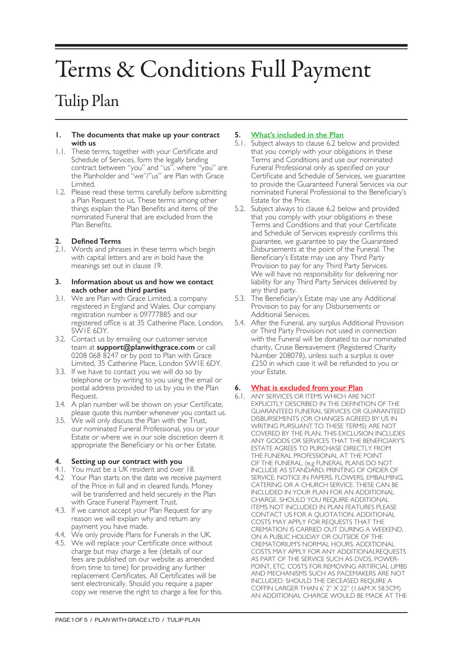# Terms & Conditions Full Payment

# Tulip Plan

#### **1. The documents that make up your contract with us**

- 1.1. These terms, together with your Certificate and Schedule of Services, form the legally binding contract between "you" and "us", where "you" are the Planholder and "we"/"us" are Plan with Grace Limited.
- 1.2. Please read these terms carefully before submitting a Plan Request to us. These terms among other things explain the Plan Benefits and items of the nominated Funeral that are excluded from the Plan Benefits.

# **2. Defined Terms**

2.1. Words and phrases in these terms which begin with capital letters and are in bold have the meanings set out in clause 19.

#### **3. Information about us and how we contact each other and third parties**

- 3.1. We are Plan with Grace Limited, a company registered in England and Wales. Our company registration number is 09777885 and our registered office is at 35 Catherine Place, London, SW1E 6DY.
- 3.2. Contact us by emailing our customer service team at **support@planwithgrace.com** or call 0208 068 8247 or by post to Plan with Grace Limited, 35 Catherine Place, London SW1E 6DY.
- 3.3. If we have to contact you we will do so by telephone or by writing to you using the email or postal address provided to us by you in the Plan Request.
- 3.4. A plan number will be shown on your Certificate, please quote this number whenever you contact us.
- 3.5. We will only discuss the Plan with the Trust, our nominated Funeral Professional, you or your Estate or where we in our sole discretion deem it appropriate the Beneficiary or his or her Estate.

# **4. Setting up our contract with you**

- 4.1. You must be a UK resident and over 18.
- 4.2 Your Plan starts on the date we receive payment of the Price in full and in cleared funds. Money will be transferred and held securely in the Plan with Grace Funeral Payment Trust.
- 4.3. If we cannot accept your Plan Request for any reason we will explain why and return any payment you have made.
- 4.4. We only provide Plans for Funerals in the UK.
- 4.5. We will replace your Certificate once without charge but may charge a fee (details of our fees are published on our website as amended from time to time) for providing any further replacement Certificates. All Certificates will be sent electronically. Should you require a paper copy we reserve the right to charge a fee for this.

# **5. What's included in the Plan**

- 5.1. Subject always to clause 6.2 below and provided that you comply with your obligations in these Terms and Conditions and use our nominated Funeral Professional only as specified on your Certificate and Schedule of Services, we guarantee to provide the Guaranteed Funeral Services via our nominated Funeral Professional to the Beneficiary's Estate for the Price.
- 5.2. Subject always to clause 6.2 below and provided that you comply with your obligations in these Terms and Conditions and that your Certificate and Schedule of Services expressly confirms this guarantee, we guarantee to pay the Guaranteed Disbursements at the point of the Funeral. The Beneficiary's Estate may use any Third Party Provision to pay for any Third Party Services. We will have no responsibility for delivering nor liability for any Third Party Services delivered by any third party.
- 5.3. The Beneficiary's Estate may use any Additional Provision to pay for any Disbursements or Additional Services.
- 5.4. After the Funeral, any surplus Additional Provision or Third Party Provision not used in connection with the Funeral will be donated to our nominated charity, Cruse Bereavement (Registered Charity Number 208078), unless such a surplus is over £250 in which case it will be refunded to you or your Estate.

# **6. What is excluded from your Plan**

6.1. ANY SERVICES OR ITEMS WHICH ARE NOT EXPLICITLY DESCRIBED IN THE DEFINITION OF THE GUARANTEED FUNERAL SERVICES OR GUARANTEED DISBURSEMENTS (OR CHANGES AGREED BY US IN WRITING PURSUANT TO THESE TERMS) ARE NOT COVERED BY THE PLAN. THIS EXCLUSION INCLUDES ANY GOODS OR SERVICES THAT THE BENEFICIARY'S ESTATE AGREES TO PURCHASE DIRECTLY FROM THE FUNERAL PROFESSIONAL AT THE POINT OF THE FUNERAL. (e.g FUNERAL PLANS DO NOT INCLUDE AS STANDARD: PRINTING OF ORDER OF SERVICE, NOTICE IN PAPERS, FLOWERS, EMBALMING, CATERING OR A CHURCH SERVICE. THESE CAN BE INCLUDED IN YOUR PLAN FOR AN ADDITIONAL CHARGE. SHOULD YOU REQUIRE ADDITIONAL ITEMS NOT INCLUDED IN PLAN FEATURES PLEASE CONTACT US FOR A QUOTATION. ADDITIONAL COSTS MAY APPLY FOR REQUESTS THAT THE CREMATION IS CARRIED OUT DURING A WEEKEND, ON A PUBLIC HOLIDAY OR OUTSIDE OF THE CREMATORIUM'S NORMAL HOURS. ADDITIONAL COSTS MAY APPLY FOR ANY ADDITIONALREQUESTS AS PART OF THE SERVICE SUCH AS DVDS, POWER-POINT, ETC. COSTS FOR REMOVING ARTIFICIAL LIMBS AND MECHANISMS SUCH AS PACEMAKERS ARE NOT INCLUDED. SHOULD THE DECEASED REQUIRE A COFFIN LARGER THAN 6' 2" X 22" (1.66M X 58.5CM) AN ADDITIONAL CHARGE WOULD BE MADE AT THE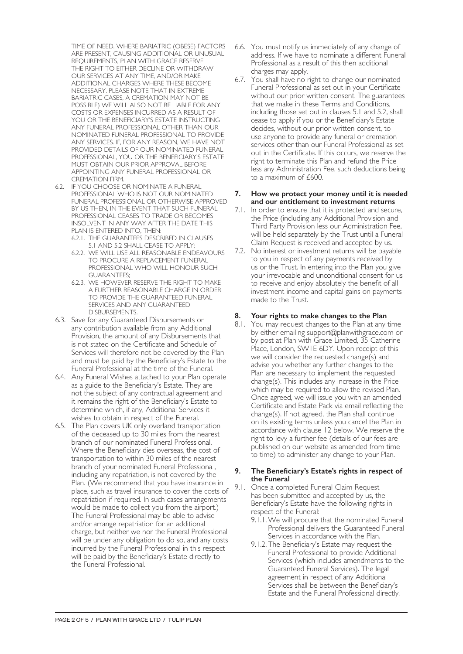TIME OF NEED. WHERE BARIATRIC (OBESE) FACTORS ARE PRESENT, CAUSING ADDITIONAL OR UNUSUAL REQUIREMENTS, PLAN WITH GRACE RESERVE THE RIGHT TO EITHER DECLINE OR WITHDRAW OUR SERVICES AT ANY TIME, AND/OR MAKE ADDITIONAL CHARGES WHERE THESE BECOME NECESSARY. PLEASE NOTE THAT IN EXTREME BARIATRIC CASES, A CREMATION MAY NOT BE POSSIBLE) WE WILL ALSO NOT BE LIABLE FOR ANY COSTS OR EXPENSES INCURRED AS A RESULT OF YOU OR THE BENEFICIARY'S ESTATE INSTRUCTING ANY FUNERAL PROFESSIONAL OTHER THAN OUR NOMINATED FUNERAL PROFESSIONAL TO PROVIDE ANY SERVICES. IF, FOR ANY REASON, WE HAVE NOT PROVIDED DETAILS OF OUR NOMINATED FUNERAL PROFESSIONAL, YOU OR THE BENEFICIARY'S ESTATE MUST OBTAIN OUR PRIOR APPROVAL BEFORE APPOINTING ANY FUNERAL PROFESSIONAL OR CREMATION FIRM.

- 6.2. IF YOU CHOOSE OR NOMINATE A FUNERAL PROFESSIONAL WHO IS NOT OUR NOMINATED FUNERAL PROFESSIONAL OR OTHERWISE APPROVED BY US THEN, IN THE EVENT THAT SUCH FUNERAL PROFESSIONAL CEASES TO TRADE OR BECOMES INSOLVENT IN ANY WAY AFTER THE DATE THIS PLAN IS ENTERED INTO, THEN:
	- 6.2.1. THE GUARANTEES DESCRIBED IN CLAUSES 5.1 AND 5.2 SHALL CEASE TO APPLY;
	- 6.2.2. WE WILL USE ALL REASONABLE ENDEAVOURS TO PROCURE A REPLACEMENT FUNERAL PROFESSIONAL WHO WILL HONOUR SUCH GUARANTEES;
	- 6.2.3. WE HOWEVER RESERVE THE RIGHT TO MAKE A FURTHER REASONABLE CHARGE IN ORDER TO PROVIDE THE GUARANTEED FUNERAL SERVICES AND ANY GUARANTEED DISBURSEMENTS.
- 6.3. Save for any Guaranteed Disbursements or any contribution available from any Additional Provision, the amount of any Disbursements that is not stated on the Certificate and Schedule of Services will therefore not be covered by the Plan and must be paid by the Beneficiary's Estate to the Funeral Professional at the time of the Funeral.
- 6.4. Any Funeral Wishes attached to your Plan operate as a guide to the Beneficiary's Estate. They are not the subject of any contractual agreement and it remains the right of the Beneficiary's Estate to determine which, if any, Additional Services it wishes to obtain in respect of the Funeral.
- 6.5. The Plan covers UK only overland transportation of the deceased up to 30 miles from the nearest branch of our nominated Funeral Professional. Where the Beneficiary dies overseas, the cost of transportation to within 30 miles of the nearest branch of your nominated Funeral Professiona , including any repatriation, is not covered by the Plan. (We recommend that you have insurance in place, such as travel insurance to cover the costs of repatriation if required. In such cases arrangements would be made to collect you from the airport.) The Funeral Professional may be able to advise and/or arrange repatriation for an additional charge, but neither we nor the Funeral Professional will be under any obligation to do so, and any costs incurred by the Funeral Professional in this respect will be paid by the Beneficiary's Estate directly to the Funeral Professional.
- 6.6. You must notify us immediately of any change of address. If we have to nominate a different Funeral Professional as a result of this then additional charges may apply.
- 6.7. You shall have no right to change our nominated Funeral Professional as set out in your Certificate without our prior written consent. The guarantees that we make in these Terms and Conditions, including those set out in clauses 5.1 and 5.2, shall cease to apply if you or the Beneficiary's Estate decides, without our prior written consent, to use anyone to provide any funeral or cremation services other than our Funeral Professional as set out in the Certificate. If this occurs, we reserve the right to terminate this Plan and refund the Price less any Administration Fee, such deductions being to a maximum of £600.

#### **7. How we protect your money until it is needed and our entitlement to investment returns**

- 7.1. In order to ensure that it is protected and secure, the Price (including any Additional Provision and Third Party Provision less our Administration Fee, will be held separately by the Trust until a Funeral Claim Request is received and accepted by us.
- 7.2. No interest or investment returns will be payable to you in respect of any payments received by us or the Trust. In entering into the Plan you give your irrevocable and unconditional consent for us to receive and enjoy absolutely the benefit of all investment income and capital gains on payments made to the Trust.

# **8. Your rights to make changes to the Plan**

8.1. You may request changes to the Plan at any time by either emailing support@planwithgrace.com or by post at Plan with Grace Limited, 35 Catherine Place, London, SW1E 6DY. Upon receipt of this we will consider the requested change(s) and advise you whether any further changes to the Plan are necessary to implement the requested change(s). This includes any increase in the Price which may be required to allow the revised Plan. Once agreed, we will issue you with an amended Certificate and Estate Pack via email reflecting the change(s). If not agreed, the Plan shall continue on its existing terms unless you cancel the Plan in accordance with clause 12 below. We reserve the right to levy a further fee (details of our fees are published on our website as amended from time to time) to administer any change to your Plan.

#### **9. The Beneficiary's Estate's rights in respect of the Funeral**

- 9.1. Once a completed Funeral Claim Request has been submitted and accepted by us, the Beneficiary's Estate have the following rights in respect of the Funeral:
	- 9.1.1.We will procure that the nominated Funeral Professional delivers the Guaranteed Funeral Services in accordance with the Plan.
	- 9.1.2. The Beneficiary's Estate may request the Funeral Professional to provide Additional Services (which includes amendments to the Guaranteed Funeral Services). The legal agreement in respect of any Additional Services shall be between the Beneficiary's Estate and the Funeral Professional directly.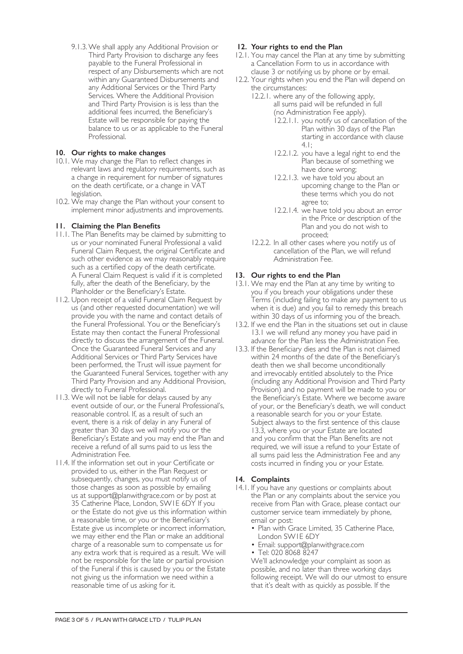9.1.3.We shall apply any Additional Provision or Third Party Provision to discharge any fees payable to the Funeral Professional in respect of any Disbursements which are not within any Guaranteed Disbursements and any Additional Services or the Third Party Services. Where the Additional Provision and Third Party Provision is is less than the additional fees incurred, the Beneficiary's Estate will be responsible for paying the balance to us or as applicable to the Funeral Professional.

# **10. Our rights to make changes**

- 10.1. We may change the Plan to reflect changes in relevant laws and regulatory requirements, such as a change in requirement for number of signatures on the death certificate, or a change in VAT legislation.
- 10.2. We may change the Plan without your consent to implement minor adjustments and improvements.

# **11. Claiming the Plan Benefits**

- 11.1. The Plan Benefits may be claimed by submitting to us or your nominated Funeral Professional a valid Funeral Claim Request, the original Certificate and such other evidence as we may reasonably require such as a certified copy of the death certificate. A Funeral Claim Request is valid if it is completed fully, after the death of the Beneficiary, by the Planholder or the Beneficiary's Estate.
- 11.2. Upon receipt of a valid Funeral Claim Request by us (and other requested documentation) we will provide you with the name and contact details of the Funeral Professional. You or the Beneficiary's Estate may then contact the Funeral Professional directly to discuss the arrangement of the Funeral. Once the Guaranteed Funeral Services and any Additional Services or Third Party Services have been performed, the Trust will issue payment for the Guaranteed Funeral Services, together with any Third Party Provision and any Additional Provision, directly to Funeral Professional.
- 11.3. We will not be liable for delays caused by any event outside of our, or the Funeral Professional's, reasonable control. If, as a result of such an event, there is a risk of delay in any Funeral of greater than 30 days we will notify you or the Beneficiary's Estate and you may end the Plan and receive a refund of all sums paid to us less the Administration Fee.
- 11.4. If the information set out in your Certificate or provided to us, either in the Plan Request or subsequently, changes, you must notify us of those changes as soon as possible by emailing us at support@planwithgrace.com or by post at 35 Catherine Place, London, SW1E 6DY If you or the Estate do not give us this information within a reasonable time, or you or the Beneficiary's Estate give us incomplete or incorrect information, we may either end the Plan or make an additional charge of a reasonable sum to compensate us for any extra work that is required as a result. We will not be responsible for the late or partial provision of the Funeral if this is caused by you or the Estate not giving us the information we need within a reasonable time of us asking for it.

# **12. Your rights to end the Plan**

- 12.1. You may cancel the Plan at any time by submitting a Cancellation Form to us in accordance with clause 3 or notifying us by phone or by email.
- 12.2. Your rights when you end the Plan will depend on the circumstances:
	- 12.2.1. where any of the following apply, all sums paid will be refunded in full (no Administration Fee apply).
		- 12.2.1.1. you notify us of cancellation of the Plan within 30 days of the Plan starting in accordance with clause 4.1;
		- 12.2.1.2. you have a legal right to end the Plan because of something we have done wrong;
		- 12.2.1.3. we have told you about an upcoming change to the Plan or these terms which you do not agree to;
		- 12.2.1.4. we have told you about an error in the Price or description of the Plan and you do not wish to proceed;
	- 12.2.2. In all other cases where you notify us of cancellation of the Plan, we will refund Administration Fee.

#### **13. Our rights to end the Plan**

- 13.1. We may end the Plan at any time by writing to you if you breach your obligations under these Terms (including failing to make any payment to us when it is due) and you fail to remedy this breach within 30 days of us informing you of the breach.
- 13.2. If we end the Plan in the situations set out in clause 13.1 we will refund any money you have paid in advance for the Plan less the Administration Fee.
- 13.3. If the Beneficiary dies and the Plan is not claimed within 24 months of the date of the Beneficiary's death then we shall become unconditionally and irrevocably entitled absolutely to the Price (including any Additional Provision and Third Party Provision) and no payment will be made to you or the Beneficiary's Estate. Where we become aware of your, or the Beneficiary's death, we will conduct a reasonable search for you or your Estate. Subject always to the first sentence of this clause 13.3, where you or your Estate are located and you confirm that the Plan Benefits are not required, we will issue a refund to your Estate of all sums paid less the Administration Fee and any costs incurred in finding you or your Estate.

#### **14. Complaints**

- 14.1. If you have any questions or complaints about the Plan or any complaints about the service you receive from Plan with Grace, please contact our customer service team immediately by phone, email or post:
	- Plan with Grace Limited, 35 Catherine Place, London SW1E 6DY
	- Email: support@planwithgrace.com
	- Tel: 020 8068 8247

We'll acknowledge your complaint as soon as possible, and no later than three working days following receipt. We will do our utmost to ensure that it's dealt with as quickly as possible. If the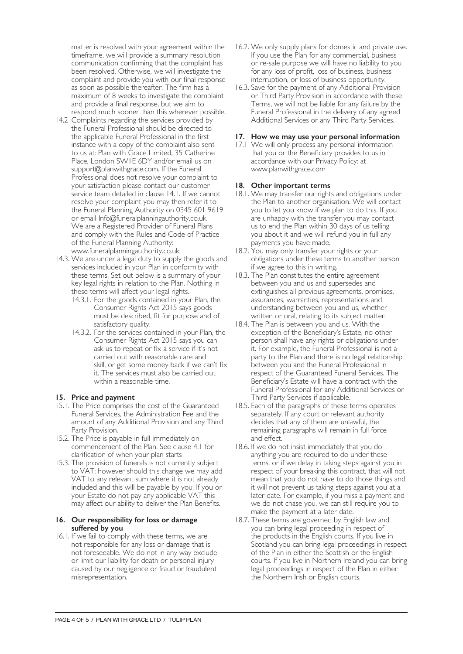matter is resolved with your agreement within the timeframe, we will provide a summary resolution communication confirming that the complaint has been resolved. Otherwise, we will investigate the complaint and provide you with our final response as soon as possible thereafter. The firm has a maximum of 8 weeks to investigate the complaint and provide a final response, but we aim to respond much sooner than this wherever possible.

- 14.2 Complaints regarding the services provided by the Funeral Professional should be directed to the applicable Funeral Professional in the first instance with a copy of the complaint also sent to us at: Plan with Grace Limited, 35 Catherine Place, London SW1E 6DY and/or email us on support@planwithgrace.com. If the Funeral Professional does not resolve your complaint to your satisfaction please contact our customer service team detailed in clause 14.1. If we cannot resolve your complaint you may then refer it to the Funeral Planning Authority on 0345 601 9619 or email Info@funeralplanningauthority.co.uk. We are a Registered Provider of Funeral Plans and comply with the Rules and Code of Practice of the Funeral Planning Authority: www.funeralplanningauthority.co.uk.
- 14.3. We are under a legal duty to supply the goods and services included in your Plan in conformity with these terms. Set out below is a summary of your key legal rights in relation to the Plan. Nothing in these terms will affect your legal rights.
	- 14.3.1. For the goods contained in your Plan, the Consumer Rights Act 2015 says goods must be described, fit for purpose and of satisfactory quality.
	- 14.3.2. For the services contained in your Plan, the Consumer Rights Act 2015 says you can ask us to repeat or fix a service if it's not carried out with reasonable care and skill, or get some money back if we can't fix it. The services must also be carried out within a reasonable time.

# **15. Price and payment**

- 15.1. The Price comprises the cost of the Guaranteed Funeral Services, the Administration Fee and the amount of any Additional Provision and any Third Party Provision.
- 15.2. The Price is payable in full immediately on commencement of the Plan. See clause 4.1 for clarification of when your plan starts
- 15.3. The provision of funerals is not currently subject to VAT; however should this change we may add VAT to any relevant sum where it is not already included and this will be payable by you. If you or your Estate do not pay any applicable VAT this may affect our ability to deliver the Plan Benefits.

#### **16. Our responsibility for loss or damage suffered by you**

16.1. If we fail to comply with these terms, we are not responsible for any loss or damage that is not foreseeable. We do not in any way exclude or limit our liability for death or personal injury caused by our negligence or fraud or fraudulent misrepresentation.

- 16.2. We only supply plans for domestic and private use. If you use the Plan for any commercial, business or re-sale purpose we will have no liability to you for any loss of profit, loss of business, business interruption, or loss of business opportunity.
- 16.3. Save for the payment of any Additional Provision or Third Party Provision in accordance with these Terms, we will not be liable for any failure by the Funeral Professional in the delivery of any agreed Additional Services or any Third Party Services.

#### **17. How we may use your personal information**

17.1 We will only process any personal information that you or the Beneficiary provides to us in accordance with our Privacy Policy: at www.planwithgrace.com

# **18. Other important terms**

- 18.1. We may transfer our rights and obligations under the Plan to another organisation. We will contact you to let you know if we plan to do this. If you are unhappy with the transfer you may contact us to end the Plan within 30 days of us telling you about it and we will refund you in full any payments you have made.
- 18.2. You may only transfer your rights or your obligations under these terms to another person if we agree to this in writing.
- 18.3. The Plan constitutes the entire agreement between you and us and supersedes and extinguishes all previous agreements, promises, assurances, warranties, representations and understanding between you and us, whether written or oral, relating to its subject matter.
- 18.4. The Plan is between you and us. With the exception of the Beneficiary's Estate, no other person shall have any rights or obligations under it. For example, the Funeral Professional is not a party to the Plan and there is no legal relationship between you and the Funeral Professional in respect of the Guaranteed Funeral Services. The Beneficiary's Estate will have a contract with the Funeral Professional for any Additional Services or Third Party Services if applicable.
- 18.5. Each of the paragraphs of these terms operates separately. If any court or relevant authority decides that any of them are unlawful, the remaining paragraphs will remain in full force and effect.
- 18.6. If we do not insist immediately that you do anything you are required to do under these terms, or if we delay in taking steps against you in respect of your breaking this contract, that will not mean that you do not have to do those things and it will not prevent us taking steps against you at a later date. For example, if you miss a payment and we do not chase you, we can still require you to make the payment at a later date.
- 18.7. These terms are governed by English law and you can bring legal proceeding in respect of the products in the English courts. If you live in Scotland you can bring legal proceedings in respect of the Plan in either the Scottish or the English courts. If you live in Northern Ireland you can bring legal proceedings in respect of the Plan in either the Northern Irish or English courts.